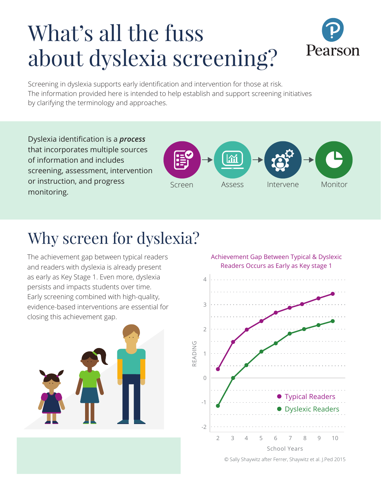# What's all the fuss about dyslexia screening?



Screening in dyslexia supports early identification and intervention for those at risk. The information provided here is intended to help establish and support screening initiatives by clarifying the terminology and approaches.

Dyslexia identification is a *process* that incorporates multiple sources of information and includes screening, assessment, intervention or instruction, and progress monitoring.



### Why screen for dyslexia?

The achievement gap between typical readers and readers with dyslexia is already present as early as Key Stage 1. Even more, dyslexia persists and impacts students over time. Early screening combined with high-quality, evidence-based interventions are essential for closing this achievement gap.



Achievement Gap Between Typical & Dyslexic Readers Occurs as Early as Key stage 1



© Sally Shaywitz after Ferrer, Shaywitz et al. J.Ped 2015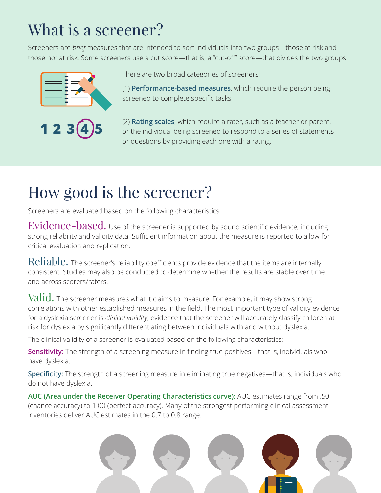# What is a screener?

Screeners are *brief* measures that are intended to sort individuals into two groups—those at risk and those not at risk. Some screeners use a cut score—that is, a "cut-off" score—that divides the two groups.





There are two broad categories of screeners:

(1) **Performance-based measures**, which require the person being screened to complete specific tasks

(2) **Rating scales**, which require a rater, such as a teacher or parent, or the individual being screened to respond to a series of statements or questions by providing each one with a rating.

## How good is the screener?

Screeners are evaluated based on the following characteristics:

Evidence-based. Use of the screener is supported by sound scientific evidence, including strong reliability and validity data. Sufficient information about the measure is reported to allow for critical evaluation and replication.

Reliable. The screener's reliability coefficients provide evidence that the items are internally consistent. Studies may also be conducted to determine whether the results are stable over time and across scorers/raters.

 $\operatorname{Valid.}$  The screener measures what it claims to measure. For example, it may show strong correlations with other established measures in the field. The most important type of validity evidence for a dyslexia screener is *clinical validity*, evidence that the screener will accurately classify children at risk for dyslexia by significantly differentiating between individuals with and without dyslexia.

The clinical validity of a screener is evaluated based on the following characteristics:

**Sensitivity:** The strength of a screening measure in finding true positives—that is, individuals who have dyslexia.

**Specificity:** The strength of a screening measure in eliminating true negatives—that is, individuals who do not have dyslexia.

**AUC (Area under the Receiver Operating Characteristics curve):** AUC estimates range from .50 (chance accuracy) to 1.00 (perfect accuracy). Many of the strongest performing clinical assessment inventories deliver AUC estimates in the 0.7 to 0.8 range.